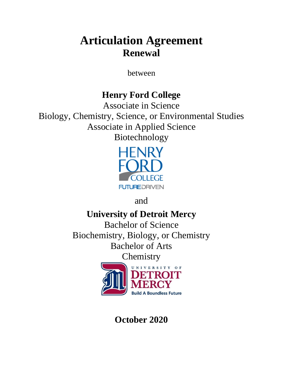# **Articulation Agreement Renewal**

between

## **Henry Ford College**

Associate in Science Biology, Chemistry, Science, or Environmental Studies Associate in Applied Science Biotechnology



and

**University of Detroit Mercy**

Bachelor of Science Biochemistry, Biology, or Chemistry Bachelor of Arts **Chemistry** 

UNIVERSITY **Build A Boundless Future** 

**October 2020**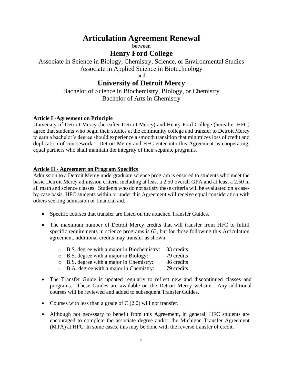## **Articulation Agreement Renewal**

between

## **Henry Ford College**

Associate in Science in Biology, Chemistry, Science, or Environmental Studies Associate in Applied Science in Biotechnology

and

### **University of Detroit Mercy**

Bachelor of Science in Biochemistry, Biology, or Chemistry Bachelor of Arts in Chemistry

#### **Article I -Agreement on Principle**

University of Detroit Mercy (hereafter Detroit Mercy) and Henry Ford College (hereafter HFC) agree that students who begin their studies at the community college and transfer to Detroit Mercy to earn a bachelor's degree should experience a smooth transition that minimizes loss of credit and duplication of coursework. Detroit Mercy and HFC enter into this Agreement as cooperating, equal partners who shall maintain the integrity of their separate programs.

#### **Article II - Agreement on Program Specifics**

Admission to a Detroit Mercy undergraduate science program is ensured to students who meet the basic Detroit Mercy admission criteria including at least a 2.50 overall GPA and at least a 2.50 in all math and science classes. Students who do not satisfy these criteria will be evaluated on a caseby-case basis. HFC students within or under this Agreement will receive equal consideration with others seeking admission or financial aid.

- Specific courses that transfer are listed on the attached Transfer Guides.
- The maximum number of Detroit Mercy credits that will transfer from HFC to fulfill specific requirements in science programs is 63, but for those following this Articulation agreement, additional credits may transfer as shown:
	- o B.S. degree with a major in Biochemistry: 83 credits
	- o B.S. degree with a major in Biology: 79 credits
	- o B.S. degree with a major in Chemistry: 86 credits
	- o B.A. degree with a major in Chemistry: 79 credits
- The Transfer Guide is updated regularly to reflect new and discontinued classes and programs. These Guides are available on the Detroit Mercy website. Any additional courses will be reviewed and added to subsequent Transfer Guides.
- Courses with less than a grade of  $C(2.0)$  will not transfer.
- Although not necessary to benefit from this Agreement, in general, HFC students are encouraged to complete the associate degree and/or the Michigan Transfer Agreement (MTA) at HFC. In some cases, this may be done with the reverse transfer of credit.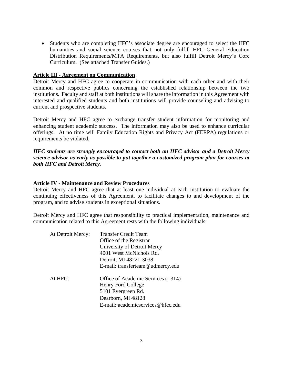• Students who are completing HFC's associate degree are encouraged to select the HFC humanities and social science courses that not only fulfill HFC General Education Distribution Requirements/MTA Requirements, but also fulfill Detroit Mercy's Core Curriculum. (See attached Transfer Guides.)

#### **Article III - Agreement on Communication**

Detroit Mercy and HFC agree to cooperate in communication with each other and with their common and respective publics concerning the established relationship between the two institutions. Faculty and staff at both institutions will share the information in this Agreement with interested and qualified students and both institutions will provide counseling and advising to current and prospective students.

Detroit Mercy and HFC agree to exchange transfer student information for monitoring and enhancing student academic success. The information may also be used to enhance curricular offerings. At no time will Family Education Rights and Privacy Act (FERPA) regulations or requirements be violated.

*HFC students are strongly encouraged to contact both an HFC advisor and a Detroit Mercy science advisor as early as possible to put together a customized program plan for courses at both HFC and Detroit Mercy.* 

#### **Article IV - Maintenance and Review Procedures**

Detroit Mercy and HFC agree that at least one individual at each institution to evaluate the continuing effectiveness of this Agreement, to facilitate changes to and development of the program, and to advise students in exceptional situations.

Detroit Mercy and HFC agree that responsibility to practical implementation, maintenance and communication related to this Agreement rests with the following individuals:

| <b>Transfer Credit Team</b>        |
|------------------------------------|
| Office of the Registrar            |
| University of Detroit Mercy        |
| 4001 West McNichols Rd.            |
| Detroit, MI 48221-3038             |
| E-mail: transferteam@udmercy.edu   |
| Office of Academic Services (L314) |
| Henry Ford College                 |
| 5101 Evergreen Rd.                 |
| Dearborn, MI 48128                 |
| E-mail: academicservices@hfcc.edu  |
|                                    |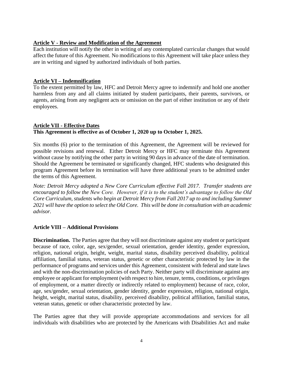#### **Article V - Review and Modification of the Agreement**

Each institution will notify the other in writing of any contemplated curricular changes that would affect the future of this Agreement. No modifications to this Agreement will take place unless they are in writing and signed by authorized individuals of both parties.

#### **Article VI – Indemnification**

To the extent permitted by law, HFC and Detroit Mercy agree to indemnify and hold one another harmless from any and all claims initiated by student participants, their parents, survivors, or agents, arising from any negligent acts or omission on the part of either institution or any of their employees.

#### **Article VII - Effective Dates This Agreement is effective as of October 1, 2020 up to October 1, 2025.**

Six months (6) prior to the termination of this Agreement, the Agreement will be reviewed for possible revisions and renewal. Either Detroit Mercy or HFC may terminate this Agreement without cause by notifying the other party in writing 90 days in advance of the date of termination. Should the Agreement be terminated or significantly changed, HFC students who designated this program Agreement before its termination will have three additional years to be admitted under the terms of this Agreement.

*Note: Detroit Mercy adopted a New Core Curriculum effective Fall 2017. Transfer students are encouraged to follow the New Core. However, if it is to the student's advantage to follow the Old Core Curriculum, students who begin at Detroit Mercy from Fall 2017 up to and including Summer 2021 will have the option to select the Old Core. This will be done in consultation with an academic advisor.*

#### **Article VIII – Additional Provisions**

**Discrimination.** The Parties agree that they will not discriminate against any student or participant because of race, color, age, sex/gender, sexual orientation, gender identity, gender expression, religion, national origin, height, weight, marital status, disability perceived disability, political affiliation, familial status, veteran status, genetic or other characteristic protected by law in the performance of programs and services under this Agreement, consistent with federal and state laws and with the non-discrimination policies of each Party. Neither party will discriminate against any employee or applicant for employment (with respect to hire, tenure, terms, conditions, or privileges of employment, or a matter directly or indirectly related to employment) because of race, color, age, sex/gender, sexual orientation, gender identity, gender expression, religion, national origin, height, weight, marital status, disability, perceived disability, political affiliation, familial status, veteran status, genetic or other characteristic protected by law.

The Parties agree that they will provide appropriate accommodations and services for all individuals with disabilities who are protected by the Americans with Disabilities Act and make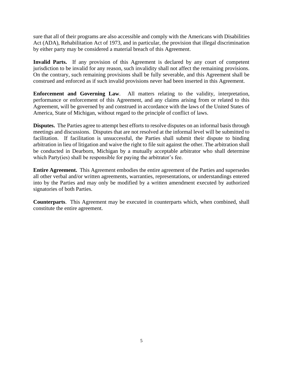sure that all of their programs are also accessible and comply with the Americans with Disabilities Act (ADA), Rehabilitation Act of 1973, and in particular, the provision that illegal discrimination by either party may be considered a material breach of this Agreement.

**Invalid Parts.** If any provision of this Agreement is declared by any court of competent jurisdiction to be invalid for any reason, such invalidity shall not affect the remaining provisions. On the contrary, such remaining provisions shall be fully severable, and this Agreement shall be construed and enforced as if such invalid provisions never had been inserted in this Agreement.

**Enforcement and Governing Law**. All matters relating to the validity, interpretation, performance or enforcement of this Agreement, and any claims arising from or related to this Agreement, will be governed by and construed in accordance with the laws of the United States of America, State of Michigan, without regard to the principle of conflict of laws.

**Disputes.** The Parties agree to attempt best efforts to resolve disputes on an informal basis through meetings and discussions. Disputes that are not resolved at the informal level will be submitted to facilitation. If facilitation is unsuccessful, the Parties shall submit their dispute to binding arbitration in lieu of litigation and waive the right to file suit against the other. The arbitration shall be conducted in Dearborn, Michigan by a mutually acceptable arbitrator who shall determine which Party(ies) shall be responsible for paying the arbitrator's fee.

**Entire Agreement.** This Agreement embodies the entire agreement of the Parties and supersedes all other verbal and/or written agreements, warranties, representations, or understandings entered into by the Parties and may only be modified by a written amendment executed by authorized signatories of both Parties.

**Counterparts**. This Agreement may be executed in counterparts which, when combined, shall constitute the entire agreement.